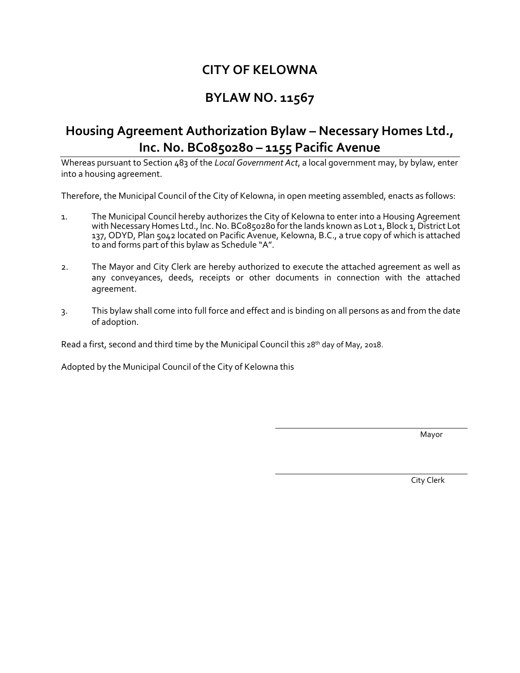# **CITY OF KELOWNA**

## **BYLAW NO. 11567**

## **Housing Agreement Authorization Bylaw – Necessary Homes Ltd., Inc. No. BC0850280 – 1155 Pacific Avenue**

Whereas pursuant to Section 483 of the *Local Government Act*, a local government may, by bylaw, enter into a housing agreement.

Therefore, the Municipal Council of the City of Kelowna, in open meeting assembled, enacts as follows:

- 1. The Municipal Council hereby authorizes the City of Kelowna to enter into a Housing Agreement with Necessary Homes Ltd., Inc. No. BC0850280 for the lands known as Lot 1, Block 1, District Lot 137, ODYD, Plan 5042 located on Pacific Avenue, Kelowna, B.C., a true copy of which is attached to and forms part of this bylaw as Schedule "A".
- 2. The Mayor and City Clerk are hereby authorized to execute the attached agreement as well as any conveyances, deeds, receipts or other documents in connection with the attached agreement.
- 3. This bylaw shall come into full force and effect and is binding on all persons as and from the date of adoption.

Read a first, second and third time by the Municipal Council this  $28<sup>th</sup>$  day of May, 2018.

Adopted by the Municipal Council of the City of Kelowna this

Mayor and the contract of the contract of the contract of the contract of the contract of the contract of the contract of the contract of the contract of the contract of the contract of the contract of the contract of the

City Clerk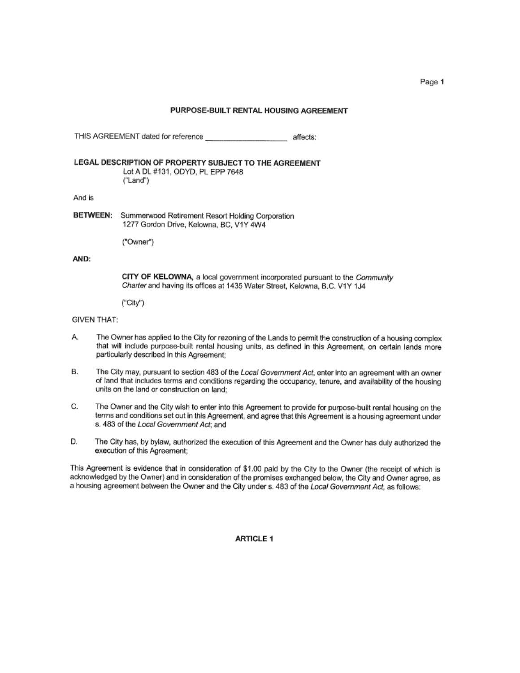## PURPOSE-BUILT RENTAL HOUSING AGREEMENT

THIS AGREEMENT dated for reference \_\_\_\_\_\_\_\_\_\_\_\_\_\_\_\_\_\_\_\_\_\_\_\_\_\_\_\_\_\_\_\_\_\_ affects: LEGAL DESCRIPTION OF PROPERTY SUBJECT TO THE AGREEMENT Lot A DL #131, ODYD, PL EPP 7648 ("Land") And is **BETWEEN:** Summerwood Retirement Resort Holding Corporation 1277 Gordon Drive, Kelowna, BC, V1Y 4W4 ("Owner")

### AND:

CITY OF KELOWNA, a local government incorporated pursuant to the Community Charter and having its offices at 1435 Water Street, Kelowna, B.C. V1Y 1J4

("City")

### **GIVEN THAT:**

- А. The Owner has applied to the City for rezoning of the Lands to permit the construction of a housing complex that will include purpose-built rental housing units, as defined in this Agreement, on certain lands more particularly described in this Agreement;
- The City may, pursuant to section 483 of the Local Government Act, enter into an agreement with an owner В. of land that includes terms and conditions regarding the occupancy, tenure, and availability of the housing units on the land or construction on land;
- C. The Owner and the City wish to enter into this Agreement to provide for purpose-built rental housing on the terms and conditions set out in this Agreement, and agree that this Agreement is a housing agreement under s. 483 of the Local Government Act; and
- The City has, by bylaw, authorized the execution of this Agreement and the Owner has duly authorized the D. execution of this Agreement;

This Agreement is evidence that in consideration of \$1.00 paid by the City to the Owner (the receipt of which is acknowledged by the Owner) and in consideration of the promises exchanged below, the City and Owner agree, as a housing agreement between the Owner and the City under s. 483 of the Local Government Act, as follows:

**ARTICLE 1** 

Page 1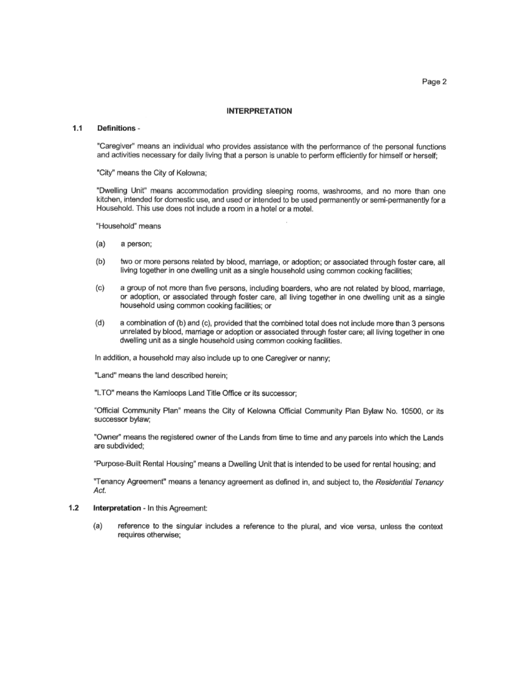Page 2

### **INTERPRETATION**

#### $1.1$ Definitions -

"Caregiver" means an individual who provides assistance with the performance of the personal functions and activities necessary for daily living that a person is unable to perform efficiently for himself or herself;

"City" means the City of Kelowna;

"Dwelling Unit" means accommodation providing sleeping rooms, washrooms, and no more than one kitchen, intended for domestic use, and used or intended to be used permanently or semi-permanently for a Household. This use does not include a room in a hotel or a motel.

"Household" means

- $(a)$ a person;
- $(b)$ two or more persons related by blood, marriage, or adoption; or associated through foster care, all living together in one dwelling unit as a single household using common cooking facilities;
- $(c)$ a group of not more than five persons, including boarders, who are not related by blood, marriage, or adoption, or associated through foster care, all living together in one dwelling unit as a single household using common cooking facilities; or
- $(d)$ a combination of (b) and (c), provided that the combined total does not include more than 3 persons unrelated by blood, marriage or adoption or associated through foster care; all living together in one dwelling unit as a single household using common cooking facilities.

In addition, a household may also include up to one Caregiver or nanny;

"Land" means the land described herein;

"LTO" means the Kamloops Land Title Office or its successor;

"Official Community Plan" means the City of Kelowna Official Community Plan Bylaw No. 10500, or its successor bylaw;

"Owner" means the registered owner of the Lands from time to time and any parcels into which the Lands are subdivided:

"Purpose-Built Rental Housing" means a Dwelling Unit that is intended to be used for rental housing; and

"Tenancy Agreement" means a tenancy agreement as defined in, and subject to, the Residential Tenancy Act.

#### $1.2$ Interpretation - In this Agreement:

reference to the singular includes a reference to the plural, and vice versa, unless the context (a) requires otherwise;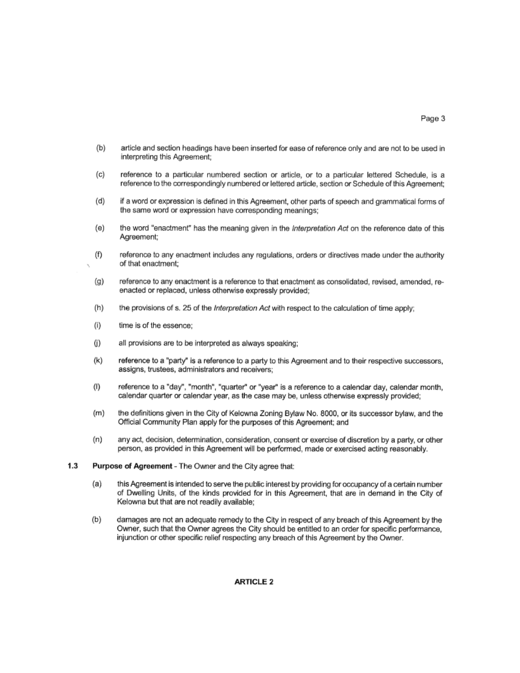- $(b)$ article and section headings have been inserted for ease of reference only and are not to be used in interpreting this Agreement;
- $(c)$ reference to a particular numbered section or article, or to a particular lettered Schedule, is a reference to the correspondingly numbered or lettered article, section or Schedule of this Agreement;
- $(d)$ if a word or expression is defined in this Agreement, other parts of speech and grammatical forms of the same word or expression have corresponding meanings;
- (e) the word "enactment" has the meaning given in the Interpretation Act on the reference date of this Agreement:
- (f) reference to any enactment includes any regulations, orders or directives made under the authority of that enactment;
- $(g)$ reference to any enactment is a reference to that enactment as consolidated, revised, amended, reenacted or replaced, unless otherwise expressly provided;
- $(h)$ the provisions of s. 25 of the Interpretation Act with respect to the calculation of time apply;
- $(i)$ time is of the essence:
- $(i)$ all provisions are to be interpreted as always speaking:
- reference to a "party" is a reference to a party to this Agreement and to their respective successors, (k) assigns, trustees, administrators and receivers;
- $(1)$ reference to a "day", "month", "quarter" or "year" is a reference to a calendar day, calendar month, calendar quarter or calendar year, as the case may be, unless otherwise expressly provided;
- the definitions given in the City of Kelowna Zoning Bylaw No. 8000, or its successor bylaw, and the (m) Official Community Plan apply for the purposes of this Agreement; and
- $(n)$ any act, decision, determination, consideration, consent or exercise of discretion by a party, or other person, as provided in this Agreement will be performed, made or exercised acting reasonably.
- $1.3$ Purpose of Agreement - The Owner and the City agree that:
	- this Agreement is intended to serve the public interest by providing for occupancy of a certain number (a) of Dwelling Units, of the kinds provided for in this Agreement, that are in demand in the City of Kelowna but that are not readily available;
	- $(b)$ damages are not an adequate remedy to the City in respect of any breach of this Agreement by the Owner, such that the Owner agrees the City should be entitled to an order for specific performance, injunction or other specific relief respecting any breach of this Agreement by the Owner.

### **ARTICLE 2**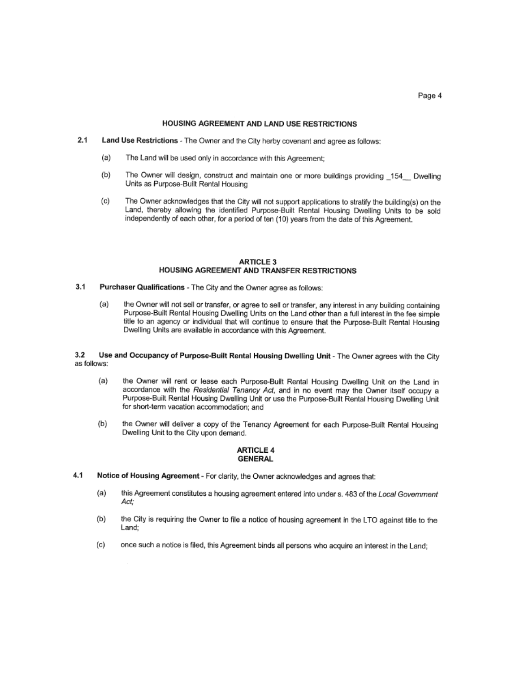### HOUSING AGREEMENT AND LAND USE RESTRICTIONS

- $2.1$ Land Use Restrictions - The Owner and the City herby covenant and agree as follows:
	- The Land will be used only in accordance with this Agreement; (a)
	- (b) The Owner will design, construct and maintain one or more buildings providing 154 Dwelling Units as Purpose-Built Rental Housing
	- $(c)$ The Owner acknowledges that the City will not support applications to stratify the building(s) on the Land, thereby allowing the identified Purpose-Built Rental Housing Dwelling Units to be sold independently of each other, for a period of ten (10) years from the date of this Agreement.

### **ARTICLE 3** HOUSING AGREEMENT AND TRANSFER RESTRICTIONS

- $3.1$ Purchaser Qualifications - The City and the Owner agree as follows:
	- $(a)$ the Owner will not sell or transfer, or agree to sell or transfer, any interest in any building containing Purpose-Built Rental Housing Dwelling Units on the Land other than a full interest in the fee simple title to an agency or individual that will continue to ensure that the Purpose-Built Rental Housing Dwelling Units are available in accordance with this Agreement.

 $3.2$ Use and Occupancy of Purpose-Built Rental Housing Dwelling Unit - The Owner agrees with the City as follows:

- (a) the Owner will rent or lease each Purpose-Built Rental Housing Dwelling Unit on the Land in accordance with the Residential Tenancy Act, and in no event may the Owner itself occupy a Purpose-Built Rental Housing Dwelling Unit or use the Purpose-Built Rental Housing Dwelling Unit for short-term vacation accommodation; and
- the Owner will deliver a copy of the Tenancy Agreement for each Purpose-Built Rental Housing  $(b)$ Dwelling Unit to the City upon demand.

### **ARTICLE 4 GENERAL**

- $4.1$ Notice of Housing Agreement - For clarity, the Owner acknowledges and agrees that:
	- $(a)$ this Agreement constitutes a housing agreement entered into under s. 483 of the Local Government Act;
	- $(b)$ the City is requiring the Owner to file a notice of housing agreement in the LTO against title to the Land:
	- $(c)$ once such a notice is filed, this Agreement binds all persons who acquire an interest in the Land;

Page 4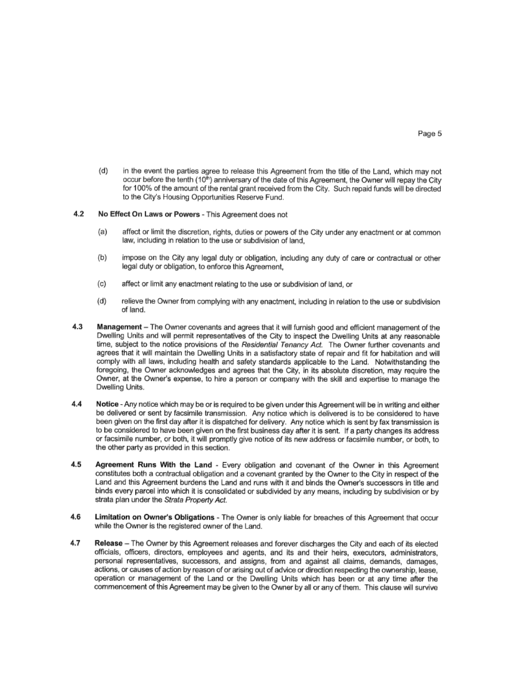$(d)$ in the event the parties agree to release this Agreement from the title of the Land, which may not occur before the tenth (10<sup>th</sup>) anniversary of the date of this Agreement, the Owner will repay the City for 100% of the amount of the rental grant received from the City. Such repaid funds will be directed to the City's Housing Opportunities Reserve Fund.

### $4.2$ No Effect On Laws or Powers - This Agreement does not

- $(a)$ affect or limit the discretion, rights, duties or powers of the City under any enactment or at common law. including in relation to the use or subdivision of land,
- $(b)$ impose on the City any legal duty or obligation, including any duty of care or contractual or other legal duty or obligation, to enforce this Agreement,
- $(c)$ affect or limit any enactment relating to the use or subdivision of land, or
- $(d)$ relieve the Owner from complying with any enactment, including in relation to the use or subdivision of land.
- 4.3 Management - The Owner covenants and agrees that it will furnish good and efficient management of the Dwelling Units and will permit representatives of the City to inspect the Dwelling Units at any reasonable time, subject to the notice provisions of the Residential Tenancy Act. The Owner further covenants and agrees that it will maintain the Dwelling Units in a satisfactory state of repair and fit for habitation and will comply with all laws, including health and safety standards applicable to the Land. Notwithstanding the foregoing, the Owner acknowledges and agrees that the City, in its absolute discretion, may require the Owner, at the Owner's expense, to hire a person or company with the skill and expertise to manage the Dwelling Units.
- $4.4$ Notice - Any notice which may be or is required to be given under this Agreement will be in writing and either be delivered or sent by facsimile transmission. Any notice which is delivered is to be considered to have been given on the first day after it is dispatched for delivery. Any notice which is sent by fax transmission is to be considered to have been given on the first business day after it is sent. If a party changes its address or facsimile number, or both, it will promptly give notice of its new address or facsimile number, or both, to the other party as provided in this section.
- 4.5 Agreement Runs With the Land - Every obligation and covenant of the Owner in this Agreement constitutes both a contractual obligation and a covenant granted by the Owner to the City in respect of the Land and this Agreement burdens the Land and runs with it and binds the Owner's successors in title and binds every parcel into which it is consolidated or subdivided by any means, including by subdivision or by strata plan under the Strata Property Act.
- 4.6 Limitation on Owner's Obligations - The Owner is only liable for breaches of this Agreement that occur while the Owner is the registered owner of the Land.
- 4.7 Release - The Owner by this Agreement releases and forever discharges the City and each of its elected officials, officers, directors, employees and agents, and its and their heirs, executors, administrators, personal representatives, successors, and assigns, from and against all claims, demands, damages, actions, or causes of action by reason of or arising out of advice or direction respecting the ownership, lease, operation or management of the Land or the Dwelling Units which has been or at any time after the commencement of this Agreement may be given to the Owner by all or any of them. This clause will survive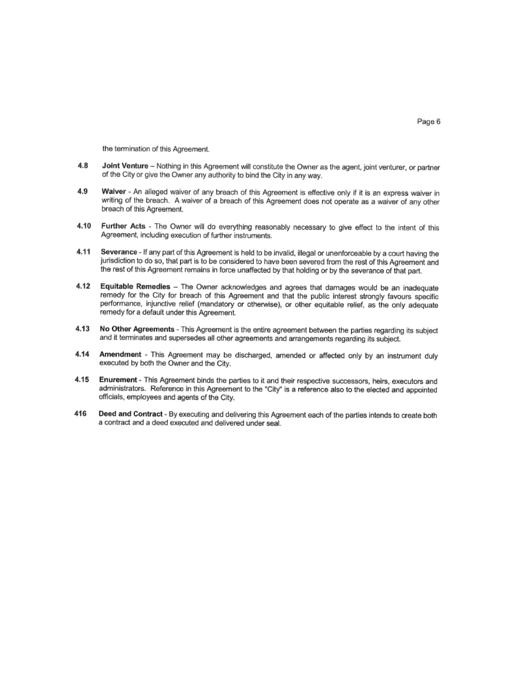the termination of this Agreement.

- 4.8 Joint Venture - Nothing in this Agreement will constitute the Owner as the agent, joint venturer, or partner of the City or give the Owner any authority to bind the City in any way.
- 4.9 Waiver - An alleged waiver of any breach of this Agreement is effective only if it is an express waiver in writing of the breach. A waiver of a breach of this Agreement does not operate as a waiver of any other breach of this Agreement.
- 4.10 Further Acts - The Owner will do everything reasonably necessary to give effect to the intent of this Agreement, including execution of further instruments.
- 4.11 Severance - If any part of this Agreement is held to be invalid, illegal or unenforceable by a court having the jurisdiction to do so, that part is to be considered to have been severed from the rest of this Agreement and the rest of this Agreement remains in force unaffected by that holding or by the severance of that part.
- 4.12 Equitable Remedies - The Owner acknowledges and agrees that damages would be an inadequate remedy for the City for breach of this Agreement and that the public interest strongly favours specific performance, injunctive relief (mandatory or otherwise), or other equitable relief, as the only adequate remedy for a default under this Agreement.
- 4.13 No Other Agreements - This Agreement is the entire agreement between the parties regarding its subject and it terminates and supersedes all other agreements and arrangements regarding its subject.
- Amendment This Agreement may be discharged, amended or affected only by an instrument duly 4.14 executed by both the Owner and the City.
- Enurement This Agreement binds the parties to it and their respective successors, heirs, executors and 4.15 administrators. Reference in this Agreement to the "City" is a reference also to the elected and appointed officials, employees and agents of the City.
- 416 Deed and Contract - By executing and delivering this Agreement each of the parties intends to create both a contract and a deed executed and delivered under seal.